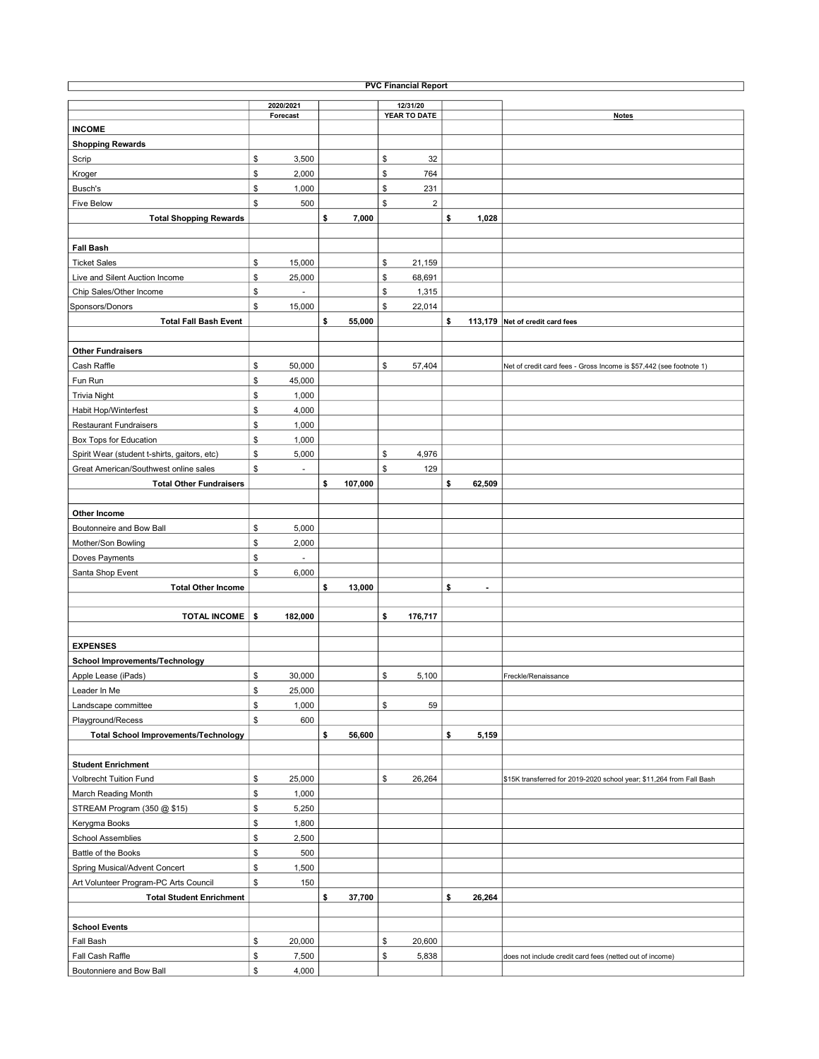| <b>PVC Financial Report</b>                  |    |           |    |         |    |                         |    |                |                                                                      |  |  |  |
|----------------------------------------------|----|-----------|----|---------|----|-------------------------|----|----------------|----------------------------------------------------------------------|--|--|--|
|                                              |    | 2020/2021 |    |         |    | 12/31/20                |    |                |                                                                      |  |  |  |
|                                              |    | Forecast  |    |         |    | YEAR TO DATE            |    |                | <b>Notes</b>                                                         |  |  |  |
| <b>INCOME</b>                                |    |           |    |         |    |                         |    |                |                                                                      |  |  |  |
| <b>Shopping Rewards</b>                      |    |           |    |         |    |                         |    |                |                                                                      |  |  |  |
| Scrip                                        | \$ | 3,500     |    |         | \$ | 32                      |    |                |                                                                      |  |  |  |
| Kroger                                       | \$ | 2,000     |    |         | \$ | 764                     |    |                |                                                                      |  |  |  |
| Busch's                                      | \$ | 1,000     |    |         | \$ | 231                     |    |                |                                                                      |  |  |  |
| <b>Five Below</b>                            | \$ | 500       |    |         | \$ | $\overline{\mathbf{c}}$ |    |                |                                                                      |  |  |  |
| <b>Total Shopping Rewards</b>                |    |           | \$ | 7,000   |    |                         | \$ | 1,028          |                                                                      |  |  |  |
|                                              |    |           |    |         |    |                         |    |                |                                                                      |  |  |  |
| <b>Fall Bash</b>                             |    |           |    |         |    |                         |    |                |                                                                      |  |  |  |
| <b>Ticket Sales</b>                          | \$ | 15,000    |    |         | \$ | 21,159                  |    |                |                                                                      |  |  |  |
| Live and Silent Auction Income               | \$ | 25,000    |    |         | \$ | 68,691                  |    |                |                                                                      |  |  |  |
| Chip Sales/Other Income                      | \$ |           |    |         | \$ | 1,315                   |    |                |                                                                      |  |  |  |
| Sponsors/Donors                              | \$ | 15,000    |    |         | \$ | 22,014                  |    |                |                                                                      |  |  |  |
| <b>Total Fall Bash Event</b>                 |    |           | \$ |         |    |                         | \$ |                |                                                                      |  |  |  |
|                                              |    |           |    | 55,000  |    |                         |    |                | 113,179 Net of credit card fees                                      |  |  |  |
|                                              |    |           |    |         |    |                         |    |                |                                                                      |  |  |  |
| <b>Other Fundraisers</b>                     |    |           |    |         |    |                         |    |                |                                                                      |  |  |  |
| Cash Raffle                                  | \$ | 50,000    |    |         | \$ | 57,404                  |    |                | Net of credit card fees - Gross Income is \$57,442 (see footnote 1)  |  |  |  |
| Fun Run                                      | \$ | 45,000    |    |         |    |                         |    |                |                                                                      |  |  |  |
| <b>Trivia Night</b>                          | \$ | 1,000     |    |         |    |                         |    |                |                                                                      |  |  |  |
| Habit Hop/Winterfest                         | \$ | 4,000     |    |         |    |                         |    |                |                                                                      |  |  |  |
| <b>Restaurant Fundraisers</b>                | \$ | 1,000     |    |         |    |                         |    |                |                                                                      |  |  |  |
| Box Tops for Education                       | \$ | 1,000     |    |         |    |                         |    |                |                                                                      |  |  |  |
| Spirit Wear (student t-shirts, gaitors, etc) | \$ | 5,000     |    |         | \$ | 4,976                   |    |                |                                                                      |  |  |  |
| Great American/Southwest online sales        | \$ | ÷,        |    |         | \$ | 129                     |    |                |                                                                      |  |  |  |
| <b>Total Other Fundraisers</b>               |    |           | \$ | 107,000 |    |                         | \$ | 62,509         |                                                                      |  |  |  |
|                                              |    |           |    |         |    |                         |    |                |                                                                      |  |  |  |
| Other Income                                 |    |           |    |         |    |                         |    |                |                                                                      |  |  |  |
| Boutonneire and Bow Ball                     | \$ | 5,000     |    |         |    |                         |    |                |                                                                      |  |  |  |
| Mother/Son Bowling                           | \$ | 2,000     |    |         |    |                         |    |                |                                                                      |  |  |  |
| Doves Payments                               | \$ |           |    |         |    |                         |    |                |                                                                      |  |  |  |
| Santa Shop Event                             | \$ | 6,000     |    |         |    |                         |    |                |                                                                      |  |  |  |
| <b>Total Other Income</b>                    |    |           | \$ | 13,000  |    |                         | \$ | $\blacksquare$ |                                                                      |  |  |  |
|                                              |    |           |    |         |    |                         |    |                |                                                                      |  |  |  |
| <b>TOTAL INCOME</b>                          | \$ | 182,000   |    |         | \$ | 176,717                 |    |                |                                                                      |  |  |  |
|                                              |    |           |    |         |    |                         |    |                |                                                                      |  |  |  |
| <b>EXPENSES</b>                              |    |           |    |         |    |                         |    |                |                                                                      |  |  |  |
| <b>School Improvements/Technology</b>        |    |           |    |         |    |                         |    |                |                                                                      |  |  |  |
| Apple Lease (iPads)                          | \$ | 30,000    |    |         | \$ | 5,100                   |    |                | Freckle/Renaissance                                                  |  |  |  |
| Leader In Me                                 | \$ |           |    |         |    |                         |    |                |                                                                      |  |  |  |
|                                              |    | 25,000    |    |         |    |                         |    |                |                                                                      |  |  |  |
| Landscape committee                          | \$ | 1,000     |    |         | \$ | 59                      |    |                |                                                                      |  |  |  |
| Playground/Recess                            | \$ | 600       |    |         |    |                         |    |                |                                                                      |  |  |  |
| <b>Total School Improvements/Technology</b>  |    |           | \$ | 56,600  |    |                         | \$ | 5,159          |                                                                      |  |  |  |
|                                              |    |           |    |         |    |                         |    |                |                                                                      |  |  |  |
| <b>Student Enrichment</b>                    |    |           |    |         |    |                         |    |                |                                                                      |  |  |  |
| <b>Volbrecht Tuition Fund</b>                | \$ | 25,000    |    |         | \$ | 26,264                  |    |                | \$15K transferred for 2019-2020 school year; \$11,264 from Fall Bash |  |  |  |
| March Reading Month                          | \$ | 1,000     |    |         |    |                         |    |                |                                                                      |  |  |  |
| STREAM Program (350 @ \$15)                  | \$ | 5,250     |    |         |    |                         |    |                |                                                                      |  |  |  |
| Kerygma Books                                | \$ | 1,800     |    |         |    |                         |    |                |                                                                      |  |  |  |
| <b>School Assemblies</b>                     | \$ | 2,500     |    |         |    |                         |    |                |                                                                      |  |  |  |
| Battle of the Books                          | \$ | 500       |    |         |    |                         |    |                |                                                                      |  |  |  |
| Spring Musical/Advent Concert                | \$ | 1,500     |    |         |    |                         |    |                |                                                                      |  |  |  |
| Art Volunteer Program-PC Arts Council        | \$ | 150       |    |         |    |                         |    |                |                                                                      |  |  |  |
| <b>Total Student Enrichment</b>              |    |           | \$ | 37,700  |    |                         | \$ | 26,264         |                                                                      |  |  |  |
|                                              |    |           |    |         |    |                         |    |                |                                                                      |  |  |  |
| <b>School Events</b>                         |    |           |    |         |    |                         |    |                |                                                                      |  |  |  |
| Fall Bash                                    | \$ | 20,000    |    |         | \$ | 20,600                  |    |                |                                                                      |  |  |  |
| Fall Cash Raffle                             | \$ | 7,500     |    |         | \$ | 5,838                   |    |                | does not include credit card fees (netted out of income)             |  |  |  |
| Boutonniere and Bow Ball                     | \$ | 4,000     |    |         |    |                         |    |                |                                                                      |  |  |  |